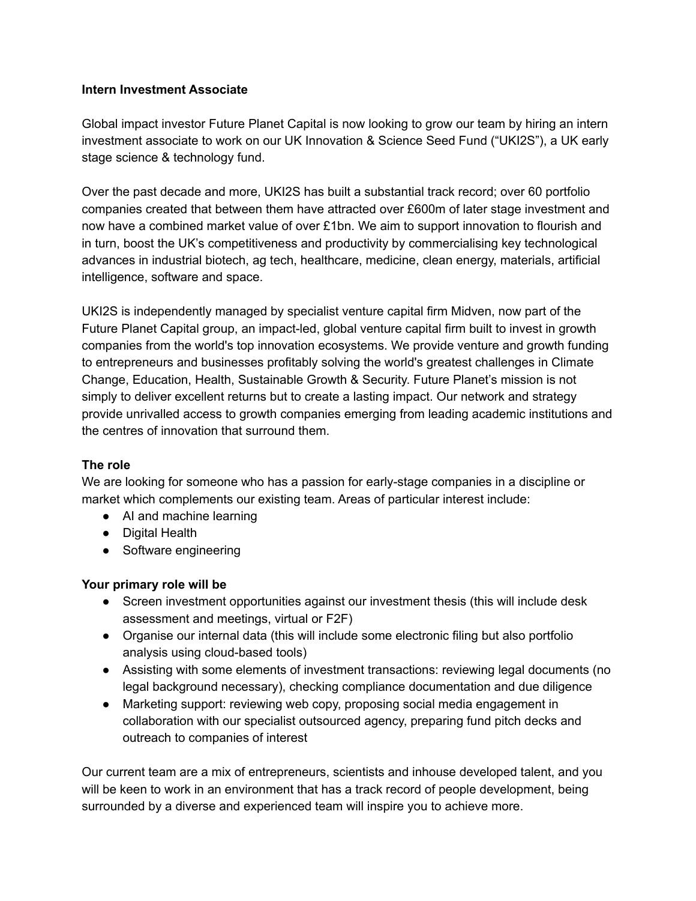#### **Intern Investment Associate**

Global impact investor Future Planet Capital is now looking to grow our team by hiring an intern investment associate to work on our UK Innovation & Science Seed Fund ("UKI2S"), a UK early stage science & technology fund.

Over the past decade and more, UKI2S has built a substantial track record; over 60 portfolio companies created that between them have attracted over £600m of later stage investment and now have a combined market value of over £1bn. We aim to support innovation to flourish and in turn, boost the UK's competitiveness and productivity by commercialising key technological advances in industrial biotech, ag tech, healthcare, medicine, clean energy, materials, artificial intelligence, software and space.

UKI2S is independently managed by specialist venture capital firm Midven, now part of the Future Planet Capital group, an impact-led, global venture capital firm built to invest in growth companies from the world's top innovation ecosystems. We provide venture and growth funding to entrepreneurs and businesses profitably solving the world's greatest challenges in Climate Change, Education, Health, Sustainable Growth & Security. Future Planet's mission is not simply to deliver excellent returns but to create a lasting impact. Our network and strategy provide unrivalled access to growth companies emerging from leading academic institutions and the centres of innovation that surround them.

#### **The role**

We are looking for someone who has a passion for early-stage companies in a discipline or market which complements our existing team. Areas of particular interest include:

- AI and machine learning
- Digital Health
- Software engineering

## **Your primary role will be**

- Screen investment opportunities against our investment thesis (this will include desk assessment and meetings, virtual or F2F)
- Organise our internal data (this will include some electronic filing but also portfolio analysis using cloud-based tools)
- Assisting with some elements of investment transactions: reviewing legal documents (no legal background necessary), checking compliance documentation and due diligence
- Marketing support: reviewing web copy, proposing social media engagement in collaboration with our specialist outsourced agency, preparing fund pitch decks and outreach to companies of interest

Our current team are a mix of entrepreneurs, scientists and inhouse developed talent, and you will be keen to work in an environment that has a track record of people development, being surrounded by a diverse and experienced team will inspire you to achieve more.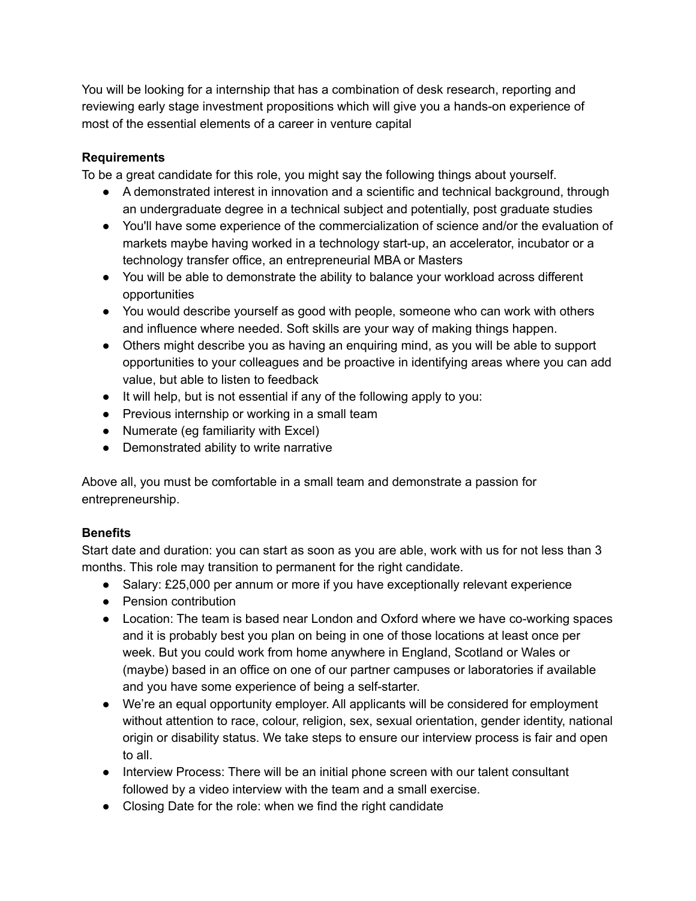You will be looking for a internship that has a combination of desk research, reporting and reviewing early stage investment propositions which will give you a hands-on experience of most of the essential elements of a career in venture capital

## **Requirements**

To be a great candidate for this role, you might say the following things about yourself.

- A demonstrated interest in innovation and a scientific and technical background, through an undergraduate degree in a technical subject and potentially, post graduate studies
- You'll have some experience of the commercialization of science and/or the evaluation of markets maybe having worked in a technology start-up, an accelerator, incubator or a technology transfer office, an entrepreneurial MBA or Masters
- You will be able to demonstrate the ability to balance your workload across different opportunities
- You would describe yourself as good with people, someone who can work with others and influence where needed. Soft skills are your way of making things happen.
- Others might describe you as having an enquiring mind, as you will be able to support opportunities to your colleagues and be proactive in identifying areas where you can add value, but able to listen to feedback
- It will help, but is not essential if any of the following apply to you:
- Previous internship or working in a small team
- Numerate (eg familiarity with Excel)
- Demonstrated ability to write narrative

Above all, you must be comfortable in a small team and demonstrate a passion for entrepreneurship.

# **Benefits**

Start date and duration: you can start as soon as you are able, work with us for not less than 3 months. This role may transition to permanent for the right candidate.

- Salary: £25,000 per annum or more if you have exceptionally relevant experience
- Pension contribution
- Location: The team is based near London and Oxford where we have co-working spaces and it is probably best you plan on being in one of those locations at least once per week. But you could work from home anywhere in England, Scotland or Wales or (maybe) based in an office on one of our partner campuses or laboratories if available and you have some experience of being a self-starter.
- We're an equal opportunity employer. All applicants will be considered for employment without attention to race, colour, religion, sex, sexual orientation, gender identity, national origin or disability status. We take steps to ensure our interview process is fair and open to all.
- Interview Process: There will be an initial phone screen with our talent consultant followed by a video interview with the team and a small exercise.
- Closing Date for the role: when we find the right candidate